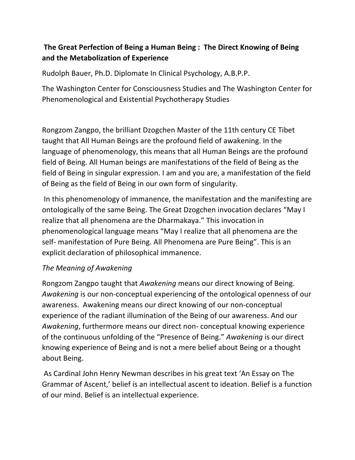# **The Great Perfection of Being a Human Being : The Direct Knowing of Being and the Metabolization of Experience**

Rudolph Bauer, Ph.D. Diplomate In Clinical Psychology, A.B.P.P.

The Washington Center for Consciousness Studies and The Washington Center for Phenomenological and Existential Psychotherapy Studies

Rongzom Zangpo, the brilliant Dzogchen Master of the 11th century CE Tibet taught that All Human Beings are the profound field of awakening. In the language of phenomenology, this means that all Human Beings are the profound field of Being. All Human beings are manifestations of the field of Being as the field of Being in singular expression. I am and you are, a manifestation of the field of Being as the field of Being in our own form of singularity.

In this phenomenology of immanence, the manifestation and the manifesting are ontologically of the same Being. The Great Dzogchen invocation declares "May I realize that all phenomena are the Dharmakaya." This invocation in phenomenological language means "May I realize that all phenomena are the self- manifestation of Pure Being. All Phenomena are Pure Being". This is an explicit declaration of philosophical immanence.

# *The Meaning of Awakening*

Rongzom Zangpo taught that *Awakening* means our direct knowing of Being. *Awakening* is our non-conceptual experiencing of the ontological openness of our awareness. Awakening means our direct knowing of our non-conceptual experience of the radiant illumination of the Being of our awareness. And our *Awakening*, furthermore means our direct non- conceptual knowing experience of the continuous unfolding of the "Presence of Being." *Awakening* is our direct knowing experience of Being and is not a mere belief about Being or a thought about Being.

As Cardinal John Henry Newman describes in his great text 'An Essay on The Grammar of Ascent,' belief is an intellectual ascent to ideation. Belief is a function of our mind. Belief is an intellectual experience.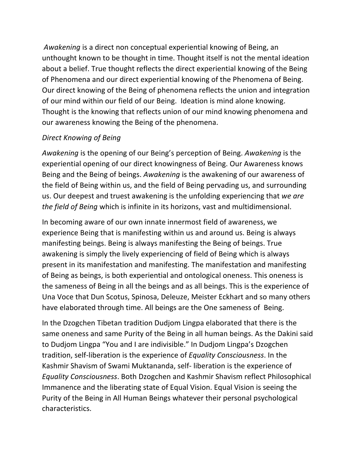*Awakening* is a direct non conceptual experiential knowing of Being, an unthought known to be thought in time. Thought itself is not the mental ideation about a belief. True thought reflects the direct experiential knowing of the Being of Phenomena and our direct experiential knowing of the Phenomena of Being. Our direct knowing of the Being of phenomena reflects the union and integration of our mind within our field of our Being. Ideation is mind alone knowing. Thought is the knowing that reflects union of our mind knowing phenomena and our awareness knowing the Being of the phenomena.

#### *Direct Knowing of Being*

*Awakening* is the opening of our Being's perception of Being. *Awakening* is the experiential opening of our direct knowingness of Being. Our Awareness knows Being and the Being of beings. *Awakening* is the awakening of our awareness of the field of Being within us, and the field of Being pervading us, and surrounding us. Our deepest and truest awakening is the unfolding experiencing that *we are the field of Being* which is infinite in its horizons, vast and multidimensional.

In becoming aware of our own innate innermost field of awareness, we experience Being that is manifesting within us and around us. Being is always manifesting beings. Being is always manifesting the Being of beings. True awakening is simply the lively experiencing of field of Being which is always present in its manifestation and manifesting. The manifestation and manifesting of Being as beings, is both experiential and ontological oneness. This oneness is the sameness of Being in all the beings and as all beings. This is the experience of Una Voce that Dun Scotus, Spinosa, Deleuze, Meister Eckhart and so many others have elaborated through time. All beings are the One sameness of Being.

In the Dzogchen Tibetan tradition Dudjom Lingpa elaborated that there is the same oneness and same Purity of the Being in all human beings. As the Dakini said to Dudjom Lingpa "You and I are indivisible." In Dudjom Lingpa's Dzogchen tradition, self-liberation is the experience of *Equality Consciousness*. In the Kashmir Shavism of Swami Muktananda, self- liberation is the experience of *Equality Consciousness*. Both Dzogchen and Kashmir Shavism reflect Philosophical Immanence and the liberating state of Equal Vision. Equal Vision is seeing the Purity of the Being in All Human Beings whatever their personal psychological characteristics.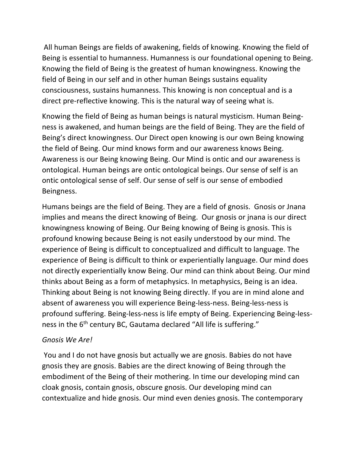All human Beings are fields of awakening, fields of knowing. Knowing the field of Being is essential to humanness. Humanness is our foundational opening to Being. Knowing the field of Being is the greatest of human knowingness. Knowing the field of Being in our self and in other human Beings sustains equality consciousness, sustains humanness. This knowing is non conceptual and is a direct pre-reflective knowing. This is the natural way of seeing what is.

Knowing the field of Being as human beings is natural mysticism. Human Beingness is awakened, and human beings are the field of Being. They are the field of Being's direct knowingness. Our Direct open knowing is our own Being knowing the field of Being. Our mind knows form and our awareness knows Being. Awareness is our Being knowing Being. Our Mind is ontic and our awareness is ontological. Human beings are ontic ontological beings. Our sense of self is an ontic ontological sense of self. Our sense of self is our sense of embodied Beingness.

Humans beings are the field of Being. They are a field of gnosis. Gnosis or Jnana implies and means the direct knowing of Being. Our gnosis or jnana is our direct knowingness knowing of Being. Our Being knowing of Being is gnosis. This is profound knowing because Being is not easily understood by our mind. The experience of Being is difficult to conceptualized and difficult to language. The experience of Being is difficult to think or experientially language. Our mind does not directly experientially know Being. Our mind can think about Being. Our mind thinks about Being as a form of metaphysics. In metaphysics, Being is an idea. Thinking about Being is not knowing Being directly. If you are in mind alone and absent of awareness you will experience Being-less-ness. Being-less-ness is profound suffering. Being-less-ness is life empty of Being. Experiencing Being-lessness in the 6<sup>th</sup> century BC, Gautama declared "All life is suffering."

#### *Gnosis We Are!*

You and I do not have gnosis but actually we are gnosis. Babies do not have gnosis they are gnosis. Babies are the direct knowing of Being through the embodiment of the Being of their mothering. In time our developing mind can cloak gnosis, contain gnosis, obscure gnosis. Our developing mind can contextualize and hide gnosis. Our mind even denies gnosis. The contemporary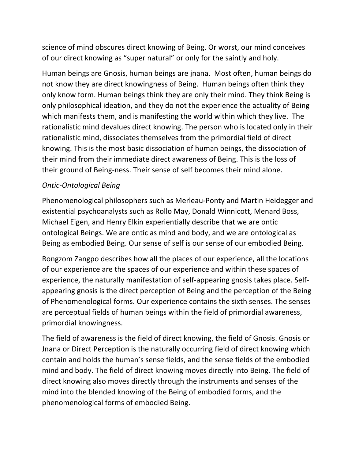science of mind obscures direct knowing of Being. Or worst, our mind conceives of our direct knowing as "super natural" or only for the saintly and holy.

Human beings are Gnosis, human beings are jnana. Most often, human beings do not know they are direct knowingness of Being. Human beings often think they only know form. Human beings think they are only their mind. They think Being is only philosophical ideation, and they do not the experience the actuality of Being which manifests them, and is manifesting the world within which they live. The rationalistic mind devalues direct knowing. The person who is located only in their rationalistic mind, dissociates themselves from the primordial field of direct knowing. This is the most basic dissociation of human beings, the dissociation of their mind from their immediate direct awareness of Being. This is the loss of their ground of Being-ness. Their sense of self becomes their mind alone.

#### *Ontic-Ontological Being*

Phenomenological philosophers such as Merleau-Ponty and Martin Heidegger and existential psychoanalysts such as Rollo May, Donald Winnicott, Menard Boss, Michael Eigen, and Henry Elkin experientially describe that we are ontic ontological Beings. We are ontic as mind and body, and we are ontological as Being as embodied Being. Our sense of self is our sense of our embodied Being.

Rongzom Zangpo describes how all the places of our experience, all the locations of our experience are the spaces of our experience and within these spaces of experience, the naturally manifestation of self-appearing gnosis takes place. Selfappearing gnosis is the direct perception of Being and the perception of the Being of Phenomenological forms. Our experience contains the sixth senses. The senses are perceptual fields of human beings within the field of primordial awareness, primordial knowingness.

The field of awareness is the field of direct knowing, the field of Gnosis. Gnosis or Jnana or Direct Perception is the naturally occurring field of direct knowing which contain and holds the human's sense fields, and the sense fields of the embodied mind and body. The field of direct knowing moves directly into Being. The field of direct knowing also moves directly through the instruments and senses of the mind into the blended knowing of the Being of embodied forms, and the phenomenological forms of embodied Being.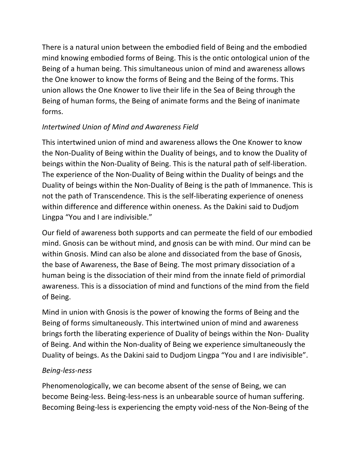There is a natural union between the embodied field of Being and the embodied mind knowing embodied forms of Being. This is the ontic ontological union of the Being of a human being. This simultaneous union of mind and awareness allows the One knower to know the forms of Being and the Being of the forms. This union allows the One Knower to live their life in the Sea of Being through the Being of human forms, the Being of animate forms and the Being of inanimate forms.

# *Intertwined Union of Mind and Awareness Field*

This intertwined union of mind and awareness allows the One Knower to know the Non-Duality of Being within the Duality of beings, and to know the Duality of beings within the Non-Duality of Being. This is the natural path of self-liberation. The experience of the Non-Duality of Being within the Duality of beings and the Duality of beings within the Non-Duality of Being is the path of Immanence. This is not the path of Transcendence. This is the self-liberating experience of oneness within difference and difference within oneness. As the Dakini said to Dudjom Lingpa "You and I are indivisible."

Our field of awareness both supports and can permeate the field of our embodied mind. Gnosis can be without mind, and gnosis can be with mind. Our mind can be within Gnosis. Mind can also be alone and dissociated from the base of Gnosis, the base of Awareness, the Base of Being. The most primary dissociation of a human being is the dissociation of their mind from the innate field of primordial awareness. This is a dissociation of mind and functions of the mind from the field of Being.

Mind in union with Gnosis is the power of knowing the forms of Being and the Being of forms simultaneously. This intertwined union of mind and awareness brings forth the liberating experience of Duality of beings within the Non- Duality of Being. And within the Non-duality of Being we experience simultaneously the Duality of beings. As the Dakini said to Dudjom Lingpa "You and I are indivisible".

# *Being-less-ness*

Phenomenologically, we can become absent of the sense of Being, we can become Being-less. Being-less-ness is an unbearable source of human suffering. Becoming Being-less is experiencing the empty void-ness of the Non-Being of the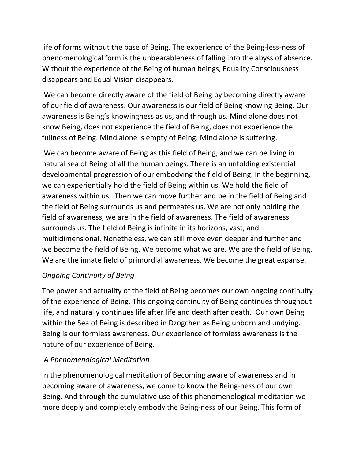life of forms without the base of Being. The experience of the Being-less-ness of phenomenological form is the unbearableness of falling into the abyss of absence. Without the experience of the Being of human beings, Equality Consciousness disappears and Equal Vision disappears.

We can become directly aware of the field of Being by becoming directly aware of our field of awareness. Our awareness is our field of Being knowing Being. Our awareness is Being's knowingness as us, and through us. Mind alone does not know Being, does not experience the field of Being, does not experience the fullness of Being. Mind alone is empty of Being. Mind alone is suffering.

We can become aware of Being as this field of Being, and we can be living in natural sea of Being of all the human beings. There is an unfolding existential developmental progression of our embodying the field of Being. In the beginning, we can experientially hold the field of Being within us. We hold the field of awareness within us. Then we can move further and be in the field of Being and the field of Being surrounds us and permeates us. We are not only holding the field of awareness, we are in the field of awareness. The field of awareness surrounds us. The field of Being is infinite in its horizons, vast, and multidimensional. Nonetheless, we can still move even deeper and further and we become the field of Being. We become what we are. We are the field of Being. We are the innate field of primordial awareness. We become the great expanse.

# *Ongoing Continuity of Being*

The power and actuality of the field of Being becomes our own ongoing continuity of the experience of Being. This ongoing continuity of Being continues throughout life, and naturally continues life after life and death after death. Our own Being within the Sea of Being is described in Dzogchen as Being unborn and undying. Being is our formless awareness. Our experience of formless awareness is the nature of our experience of Being.

# *A Phenomenological Meditation*

In the phenomenological meditation of Becoming aware of awareness and in becoming aware of awareness, we come to know the Being-ness of our own Being. And through the cumulative use of this phenomenological meditation we more deeply and completely embody the Being-ness of our Being. This form of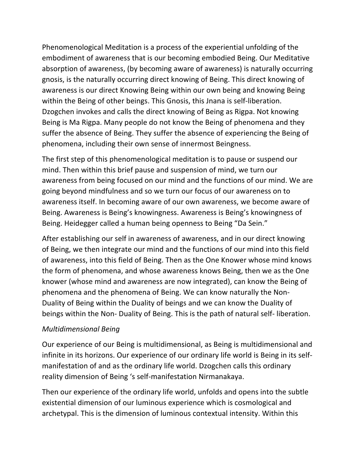Phenomenological Meditation is a process of the experiential unfolding of the embodiment of awareness that is our becoming embodied Being. Our Meditative absorption of awareness, (by becoming aware of awareness) is naturally occurring gnosis, is the naturally occurring direct knowing of Being. This direct knowing of awareness is our direct Knowing Being within our own being and knowing Being within the Being of other beings. This Gnosis, this Jnana is self-liberation. Dzogchen invokes and calls the direct knowing of Being as Rigpa. Not knowing Being is Ma Rigpa. Many people do not know the Being of phenomena and they suffer the absence of Being. They suffer the absence of experiencing the Being of phenomena, including their own sense of innermost Beingness.

The first step of this phenomenological meditation is to pause or suspend our mind. Then within this brief pause and suspension of mind, we turn our awareness from being focused on our mind and the functions of our mind. We are going beyond mindfulness and so we turn our focus of our awareness on to awareness itself. In becoming aware of our own awareness, we become aware of Being. Awareness is Being's knowingness. Awareness is Being's knowingness of Being. Heidegger called a human being openness to Being "Da Sein."

After establishing our self in awareness of awareness, and in our direct knowing of Being, we then integrate our mind and the functions of our mind into this field of awareness, into this field of Being. Then as the One Knower whose mind knows the form of phenomena, and whose awareness knows Being, then we as the One knower (whose mind and awareness are now integrated), can know the Being of phenomena and the phenomena of Being. We can know naturally the Non-Duality of Being within the Duality of beings and we can know the Duality of beings within the Non- Duality of Being. This is the path of natural self- liberation.

# *Multidimensional Being*

Our experience of our Being is multidimensional, as Being is multidimensional and infinite in its horizons. Our experience of our ordinary life world is Being in its selfmanifestation of and as the ordinary life world. Dzogchen calls this ordinary reality dimension of Being 's self-manifestation Nirmanakaya.

Then our experience of the ordinary life world, unfolds and opens into the subtle existential dimension of our luminous experience which is cosmological and archetypal. This is the dimension of luminous contextual intensity. Within this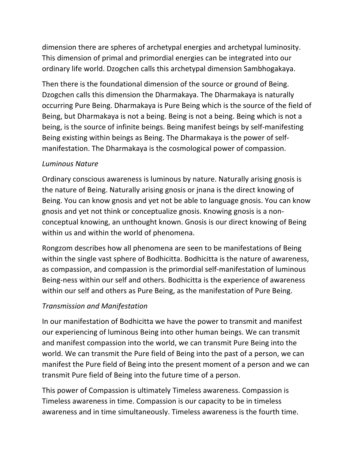dimension there are spheres of archetypal energies and archetypal luminosity. This dimension of primal and primordial energies can be integrated into our ordinary life world. Dzogchen calls this archetypal dimension Sambhogakaya.

Then there is the foundational dimension of the source or ground of Being. Dzogchen calls this dimension the Dharmakaya. The Dharmakaya is naturally occurring Pure Being. Dharmakaya is Pure Being which is the source of the field of Being, but Dharmakaya is not a being. Being is not a being. Being which is not a being, is the source of infinite beings. Being manifest beings by self-manifesting Being existing within beings as Being. The Dharmakaya is the power of selfmanifestation. The Dharmakaya is the cosmological power of compassion.

# *Luminous Nature*

Ordinary conscious awareness is luminous by nature. Naturally arising gnosis is the nature of Being. Naturally arising gnosis or jnana is the direct knowing of Being. You can know gnosis and yet not be able to language gnosis. You can know gnosis and yet not think or conceptualize gnosis. Knowing gnosis is a nonconceptual knowing, an unthought known. Gnosis is our direct knowing of Being within us and within the world of phenomena.

Rongzom describes how all phenomena are seen to be manifestations of Being within the single vast sphere of Bodhicitta. Bodhicitta is the nature of awareness, as compassion, and compassion is the primordial self-manifestation of luminous Being-ness within our self and others. Bodhicitta is the experience of awareness within our self and others as Pure Being, as the manifestation of Pure Being.

# *Transmission and Manifestation*

In our manifestation of Bodhicitta we have the power to transmit and manifest our experiencing of luminous Being into other human beings. We can transmit and manifest compassion into the world, we can transmit Pure Being into the world. We can transmit the Pure field of Being into the past of a person, we can manifest the Pure field of Being into the present moment of a person and we can transmit Pure field of Being into the future time of a person.

This power of Compassion is ultimately Timeless awareness. Compassion is Timeless awareness in time. Compassion is our capacity to be in timeless awareness and in time simultaneously. Timeless awareness is the fourth time.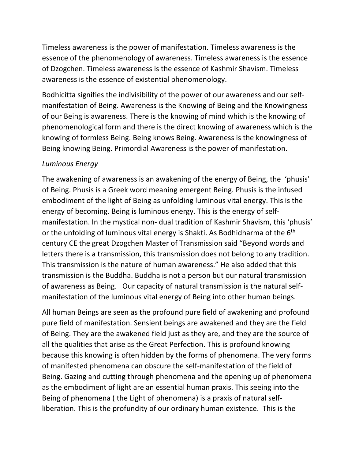Timeless awareness is the power of manifestation. Timeless awareness is the essence of the phenomenology of awareness. Timeless awareness is the essence of Dzogchen. Timeless awareness is the essence of Kashmir Shavism. Timeless awareness is the essence of existential phenomenology.

Bodhicitta signifies the indivisibility of the power of our awareness and our selfmanifestation of Being. Awareness is the Knowing of Being and the Knowingness of our Being is awareness. There is the knowing of mind which is the knowing of phenomenological form and there is the direct knowing of awareness which is the knowing of formless Being. Being knows Being. Awareness is the knowingness of Being knowing Being. Primordial Awareness is the power of manifestation.

#### *Luminous Energy*

The awakening of awareness is an awakening of the energy of Being, the 'phusis' of Being. Phusis is a Greek word meaning emergent Being. Phusis is the infused embodiment of the light of Being as unfolding luminous vital energy. This is the energy of becoming. Being is luminous energy. This is the energy of selfmanifestation. In the mystical non- dual tradition of Kashmir Shavism, this 'phusis' or the unfolding of luminous vital energy is Shakti. As Bodhidharma of the  $6<sup>th</sup>$ century CE the great Dzogchen Master of Transmission said "Beyond words and letters there is a transmission, this transmission does not belong to any tradition. This transmission is the nature of human awareness." He also added that this transmission is the Buddha. Buddha is not a person but our natural transmission of awareness as Being. Our capacity of natural transmission is the natural selfmanifestation of the luminous vital energy of Being into other human beings.

All human Beings are seen as the profound pure field of awakening and profound pure field of manifestation. Sensient beings are awakened and they are the field of Being. They are the awakened field just as they are, and they are the source of all the qualities that arise as the Great Perfection. This is profound knowing because this knowing is often hidden by the forms of phenomena. The very forms of manifested phenomena can obscure the self-manifestation of the field of Being. Gazing and cutting through phenomena and the opening up of phenomena as the embodiment of light are an essential human praxis. This seeing into the Being of phenomena ( the Light of phenomena) is a praxis of natural selfliberation. This is the profundity of our ordinary human existence. This is the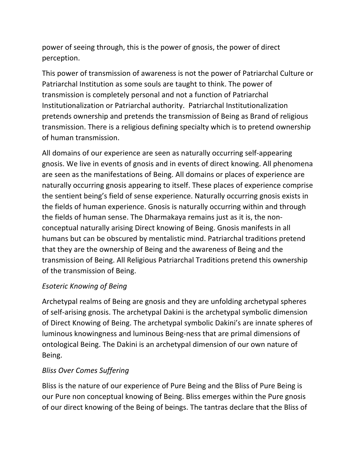power of seeing through, this is the power of gnosis, the power of direct perception.

This power of transmission of awareness is not the power of Patriarchal Culture or Patriarchal Institution as some souls are taught to think. The power of transmission is completely personal and not a function of Patriarchal Institutionalization or Patriarchal authority. Patriarchal Institutionalization pretends ownership and pretends the transmission of Being as Brand of religious transmission. There is a religious defining specialty which is to pretend ownership of human transmission.

All domains of our experience are seen as naturally occurring self-appearing gnosis. We live in events of gnosis and in events of direct knowing. All phenomena are seen as the manifestations of Being. All domains or places of experience are naturally occurring gnosis appearing to itself. These places of experience comprise the sentient being's field of sense experience. Naturally occurring gnosis exists in the fields of human experience. Gnosis is naturally occurring within and through the fields of human sense. The Dharmakaya remains just as it is, the nonconceptual naturally arising Direct knowing of Being. Gnosis manifests in all humans but can be obscured by mentalistic mind. Patriarchal traditions pretend that they are the ownership of Being and the awareness of Being and the transmission of Being. All Religious Patriarchal Traditions pretend this ownership of the transmission of Being.

# *Esoteric Knowing of Being*

Archetypal realms of Being are gnosis and they are unfolding archetypal spheres of self-arising gnosis. The archetypal Dakini is the archetypal symbolic dimension of Direct Knowing of Being. The archetypal symbolic Dakini's are innate spheres of luminous knowingness and luminous Being-ness that are primal dimensions of ontological Being. The Dakini is an archetypal dimension of our own nature of Being.

# *Bliss Over Comes Suffering*

Bliss is the nature of our experience of Pure Being and the Bliss of Pure Being is our Pure non conceptual knowing of Being. Bliss emerges within the Pure gnosis of our direct knowing of the Being of beings. The tantras declare that the Bliss of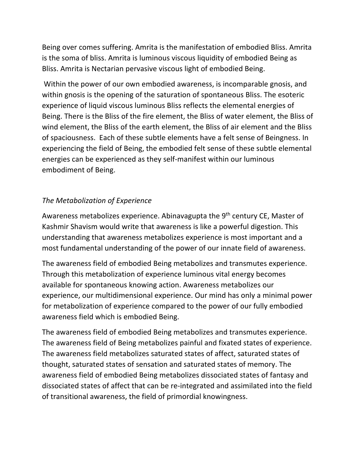Being over comes suffering. Amrita is the manifestation of embodied Bliss. Amrita is the soma of bliss. Amrita is luminous viscous liquidity of embodied Being as Bliss. Amrita is Nectarian pervasive viscous light of embodied Being.

Within the power of our own embodied awareness, is incomparable gnosis, and within gnosis is the opening of the saturation of spontaneous Bliss. The esoteric experience of liquid viscous luminous Bliss reflects the elemental energies of Being. There is the Bliss of the fire element, the Bliss of water element, the Bliss of wind element, the Bliss of the earth element, the Bliss of air element and the Bliss of spaciousness. Each of these subtle elements have a felt sense of Beingness. In experiencing the field of Being, the embodied felt sense of these subtle elemental energies can be experienced as they self-manifest within our luminous embodiment of Being.

# *The Metabolization of Experience*

Awareness metabolizes experience. Abinavagupta the 9<sup>th</sup> century CE, Master of Kashmir Shavism would write that awareness is like a powerful digestion. This understanding that awareness metabolizes experience is most important and a most fundamental understanding of the power of our innate field of awareness.

The awareness field of embodied Being metabolizes and transmutes experience. Through this metabolization of experience luminous vital energy becomes available for spontaneous knowing action. Awareness metabolizes our experience, our multidimensional experience. Our mind has only a minimal power for metabolization of experience compared to the power of our fully embodied awareness field which is embodied Being.

The awareness field of embodied Being metabolizes and transmutes experience. The awareness field of Being metabolizes painful and fixated states of experience. The awareness field metabolizes saturated states of affect, saturated states of thought, saturated states of sensation and saturated states of memory. The awareness field of embodied Being metabolizes dissociated states of fantasy and dissociated states of affect that can be re-integrated and assimilated into the field of transitional awareness, the field of primordial knowingness.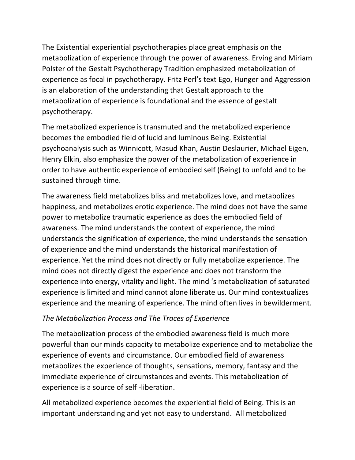The Existential experiential psychotherapies place great emphasis on the metabolization of experience through the power of awareness. Erving and Miriam Polster of the Gestalt Psychotherapy Tradition emphasized metabolization of experience as focal in psychotherapy. Fritz Perl's text Ego, Hunger and Aggression is an elaboration of the understanding that Gestalt approach to the metabolization of experience is foundational and the essence of gestalt psychotherapy.

The metabolized experience is transmuted and the metabolized experience becomes the embodied field of lucid and luminous Being. Existential psychoanalysis such as Winnicott, Masud Khan, Austin Deslaurier, Michael Eigen, Henry Elkin, also emphasize the power of the metabolization of experience in order to have authentic experience of embodied self (Being) to unfold and to be sustained through time.

The awareness field metabolizes bliss and metabolizes love, and metabolizes happiness, and metabolizes erotic experience. The mind does not have the same power to metabolize traumatic experience as does the embodied field of awareness. The mind understands the context of experience, the mind understands the signification of experience, the mind understands the sensation of experience and the mind understands the historical manifestation of experience. Yet the mind does not directly or fully metabolize experience. The mind does not directly digest the experience and does not transform the experience into energy, vitality and light. The mind 's metabolization of saturated experience is limited and mind cannot alone liberate us. Our mind contextualizes experience and the meaning of experience. The mind often lives in bewilderment.

# *The Metabolization Process and The Traces of Experience*

The metabolization process of the embodied awareness field is much more powerful than our minds capacity to metabolize experience and to metabolize the experience of events and circumstance. Our embodied field of awareness metabolizes the experience of thoughts, sensations, memory, fantasy and the immediate experience of circumstances and events. This metabolization of experience is a source of self -liberation.

All metabolized experience becomes the experiential field of Being. This is an important understanding and yet not easy to understand. All metabolized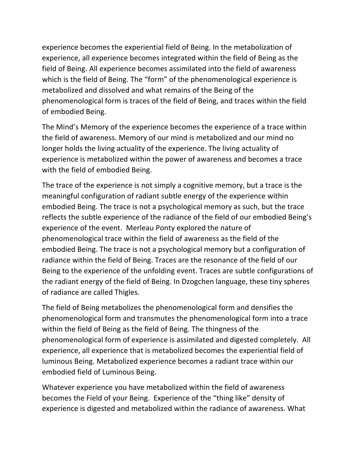experience becomes the experiential field of Being. In the metabolization of experience, all experience becomes integrated within the field of Being as the field of Being. All experience becomes assimilated into the field of awareness which is the field of Being. The "form" of the phenomenological experience is metabolized and dissolved and what remains of the Being of the phenomenological form is traces of the field of Being, and traces within the field of embodied Being.

The Mind's Memory of the experience becomes the experience of a trace within the field of awareness. Memory of our mind is metabolized and our mind no longer holds the living actuality of the experience. The living actuality of experience is metabolized within the power of awareness and becomes a trace with the field of embodied Being.

The trace of the experience is not simply a cognitive memory, but a trace is the meaningful configuration of radiant subtle energy of the experience within embodied Being. The trace is not a psychological memory as such, but the trace reflects the subtle experience of the radiance of the field of our embodied Being's experience of the event. Merleau Ponty explored the nature of phenomenological trace within the field of awareness as the field of the embodied Being. The trace is not a psychological memory but a configuration of radiance within the field of Being. Traces are the resonance of the field of our Being to the experience of the unfolding event. Traces are subtle configurations of the radiant energy of the field of Being. In Dzogchen language, these tiny spheres of radiance are called Thigles.

The field of Being metabolizes the phenomenological form and densifies the phenomenological form and transmutes the phenomenological form into a trace within the field of Being as the field of Being. The thingness of the phenomenological form of experience is assimilated and digested completely. All experience, all experience that is metabolized becomes the experiential field of luminous Being. Metabolized experience becomes a radiant trace within our embodied field of Luminous Being.

Whatever experience you have metabolized within the field of awareness becomes the Field of your Being. Experience of the "thing like" density of experience is digested and metabolized within the radiance of awareness. What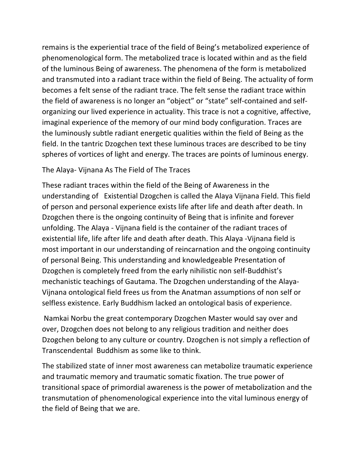remains is the experiential trace of the field of Being's metabolized experience of phenomenological form. The metabolized trace is located within and as the field of the luminous Being of awareness. The phenomena of the form is metabolized and transmuted into a radiant trace within the field of Being. The actuality of form becomes a felt sense of the radiant trace. The felt sense the radiant trace within the field of awareness is no longer an "object" or "state" self-contained and selforganizing our lived experience in actuality. This trace is not a cognitive, affective, imaginal experience of the memory of our mind body configuration. Traces are the luminously subtle radiant energetic qualities within the field of Being as the field. In the tantric Dzogchen text these luminous traces are described to be tiny spheres of vortices of light and energy. The traces are points of luminous energy.

#### The Alaya- Vijnana As The Field of The Traces

These radiant traces within the field of the Being of Awareness in the understanding of Existential Dzogchen is called the Alaya Vijnana Field. This field of person and personal experience exists life after life and death after death. In Dzogchen there is the ongoing continuity of Being that is infinite and forever unfolding. The Alaya - Vijnana field is the container of the radiant traces of existential life, life after life and death after death. This Alaya -Vijnana field is most important in our understanding of reincarnation and the ongoing continuity of personal Being. This understanding and knowledgeable Presentation of Dzogchen is completely freed from the early nihilistic non self-Buddhist's mechanistic teachings of Gautama. The Dzogchen understanding of the Alaya-Vijnana ontological field frees us from the Anatman assumptions of non self or selfless existence. Early Buddhism lacked an ontological basis of experience.

Namkai Norbu the great contemporary Dzogchen Master would say over and over, Dzogchen does not belong to any religious tradition and neither does Dzogchen belong to any culture or country. Dzogchen is not simply a reflection of Transcendental Buddhism as some like to think.

The stabilized state of inner most awareness can metabolize traumatic experience and traumatic memory and traumatic somatic fixation. The true power of transitional space of primordial awareness is the power of metabolization and the transmutation of phenomenological experience into the vital luminous energy of the field of Being that we are.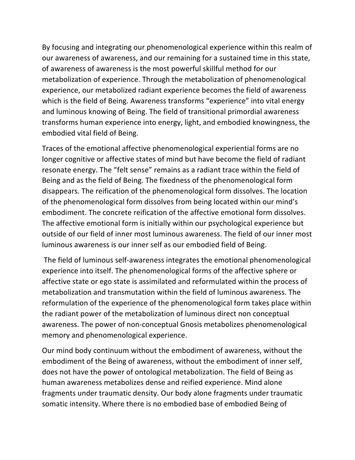By focusing and integrating our phenomenological experience within this realm of our awareness of awareness, and our remaining for a sustained time in this state, of awareness of awareness is the most powerful skillful method for our metabolization of experience. Through the metabolization of phenomenological experience, our metabolized radiant experience becomes the field of awareness which is the field of Being. Awareness transforms "experience" into vital energy and luminous knowing of Being. The field of transitional primordial awareness transforms human experience into energy, light, and embodied knowingness, the embodied vital field of Being.

Traces of the emotional affective phenomenological experiential forms are no longer cognitive or affective states of mind but have become the field of radiant resonate energy. The "felt sense" remains as a radiant trace within the field of Being and as the field of Being. The fixedness of the phenomenological form disappears. The reification of the phenomenological form dissolves. The location of the phenomenological form dissolves from being located within our mind's embodiment. The concrete reification of the affective emotional form dissolves. The affective emotional form is initially within our psychological experience but outside of our field of inner most luminous awareness. The field of our inner most luminous awareness is our inner self as our embodied field of Being.

The field of luminous self-awareness integrates the emotional phenomenological experience into itself. The phenomenological forms of the affective sphere or affective state or ego state is assimilated and reformulated within the process of metabolization and transmutation within the field of luminous awareness. The reformulation of the experience of the phenomenological form takes place within the radiant power of the metabolization of luminous direct non conceptual awareness. The power of non-conceptual Gnosis metabolizes phenomenological memory and phenomenological experience.

Our mind body continuum without the embodiment of awareness, without the embodiment of the Being of awareness, without the embodiment of inner self, does not have the power of ontological metabolization. The field of Being as human awareness metabolizes dense and reified experience. Mind alone fragments under traumatic density. Our body alone fragments under traumatic somatic intensity. Where there is no embodied base of embodied Being of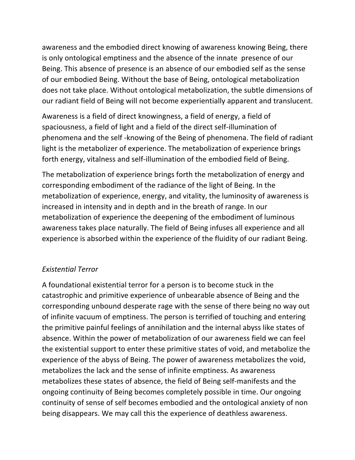awareness and the embodied direct knowing of awareness knowing Being, there is only ontological emptiness and the absence of the innate presence of our Being. This absence of presence is an absence of our embodied self as the sense of our embodied Being. Without the base of Being, ontological metabolization does not take place. Without ontological metabolization, the subtle dimensions of our radiant field of Being will not become experientially apparent and translucent.

Awareness is a field of direct knowingness, a field of energy, a field of spaciousness, a field of light and a field of the direct self-illumination of phenomena and the self -knowing of the Being of phenomena. The field of radiant light is the metabolizer of experience. The metabolization of experience brings forth energy, vitalness and self-illumination of the embodied field of Being.

The metabolization of experience brings forth the metabolization of energy and corresponding embodiment of the radiance of the light of Being. In the metabolization of experience, energy, and vitality, the luminosity of awareness is increased in intensity and in depth and in the breath of range. In our metabolization of experience the deepening of the embodiment of luminous awareness takes place naturally. The field of Being infuses all experience and all experience is absorbed within the experience of the fluidity of our radiant Being.

# *Existential Terror*

A foundational existential terror for a person is to become stuck in the catastrophic and primitive experience of unbearable absence of Being and the corresponding unbound desperate rage with the sense of there being no way out of infinite vacuum of emptiness. The person is terrified of touching and entering the primitive painful feelings of annihilation and the internal abyss like states of absence. Within the power of metabolization of our awareness field we can feel the existential support to enter these primitive states of void, and metabolize the experience of the abyss of Being. The power of awareness metabolizes the void, metabolizes the lack and the sense of infinite emptiness. As awareness metabolizes these states of absence, the field of Being self-manifests and the ongoing continuity of Being becomes completely possible in time. Our ongoing continuity of sense of self becomes embodied and the ontological anxiety of non being disappears. We may call this the experience of deathless awareness.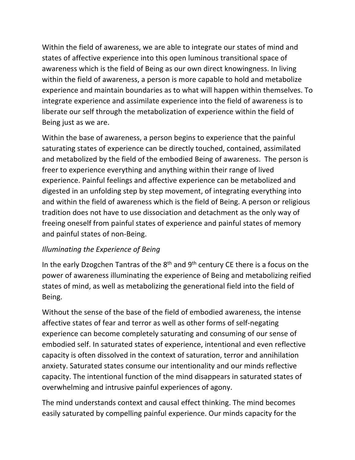Within the field of awareness, we are able to integrate our states of mind and states of affective experience into this open luminous transitional space of awareness which is the field of Being as our own direct knowingness. In living within the field of awareness, a person is more capable to hold and metabolize experience and maintain boundaries as to what will happen within themselves. To integrate experience and assimilate experience into the field of awareness is to liberate our self through the metabolization of experience within the field of Being just as we are.

Within the base of awareness, a person begins to experience that the painful saturating states of experience can be directly touched, contained, assimilated and metabolized by the field of the embodied Being of awareness. The person is freer to experience everything and anything within their range of lived experience. Painful feelings and affective experience can be metabolized and digested in an unfolding step by step movement, of integrating everything into and within the field of awareness which is the field of Being. A person or religious tradition does not have to use dissociation and detachment as the only way of freeing oneself from painful states of experience and painful states of memory and painful states of non-Being.

# *Illuminating the Experience of Being*

In the early Dzogchen Tantras of the  $8<sup>th</sup>$  and  $9<sup>th</sup>$  century CE there is a focus on the power of awareness illuminating the experience of Being and metabolizing reified states of mind, as well as metabolizing the generational field into the field of Being.

Without the sense of the base of the field of embodied awareness, the intense affective states of fear and terror as well as other forms of self-negating experience can become completely saturating and consuming of our sense of embodied self. In saturated states of experience, intentional and even reflective capacity is often dissolved in the context of saturation, terror and annihilation anxiety. Saturated states consume our intentionality and our minds reflective capacity. The intentional function of the mind disappears in saturated states of overwhelming and intrusive painful experiences of agony.

The mind understands context and causal effect thinking. The mind becomes easily saturated by compelling painful experience. Our minds capacity for the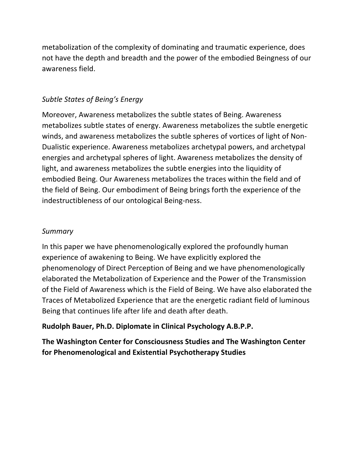metabolization of the complexity of dominating and traumatic experience, does not have the depth and breadth and the power of the embodied Beingness of our awareness field.

#### *Subtle States of Being's Energy*

Moreover, Awareness metabolizes the subtle states of Being. Awareness metabolizes subtle states of energy. Awareness metabolizes the subtle energetic winds, and awareness metabolizes the subtle spheres of vortices of light of Non-Dualistic experience. Awareness metabolizes archetypal powers, and archetypal energies and archetypal spheres of light. Awareness metabolizes the density of light, and awareness metabolizes the subtle energies into the liquidity of embodied Being. Our Awareness metabolizes the traces within the field and of the field of Being. Our embodiment of Being brings forth the experience of the indestructibleness of our ontological Being-ness.

#### *Summary*

In this paper we have phenomenologically explored the profoundly human experience of awakening to Being. We have explicitly explored the phenomenology of Direct Perception of Being and we have phenomenologically elaborated the Metabolization of Experience and the Power of the Transmission of the Field of Awareness which is the Field of Being. We have also elaborated the Traces of Metabolized Experience that are the energetic radiant field of luminous Being that continues life after life and death after death.

#### **Rudolph Bauer, Ph.D. Diplomate in Clinical Psychology A.B.P.P.**

**The Washington Center for Consciousness Studies and The Washington Center for Phenomenological and Existential Psychotherapy Studies**